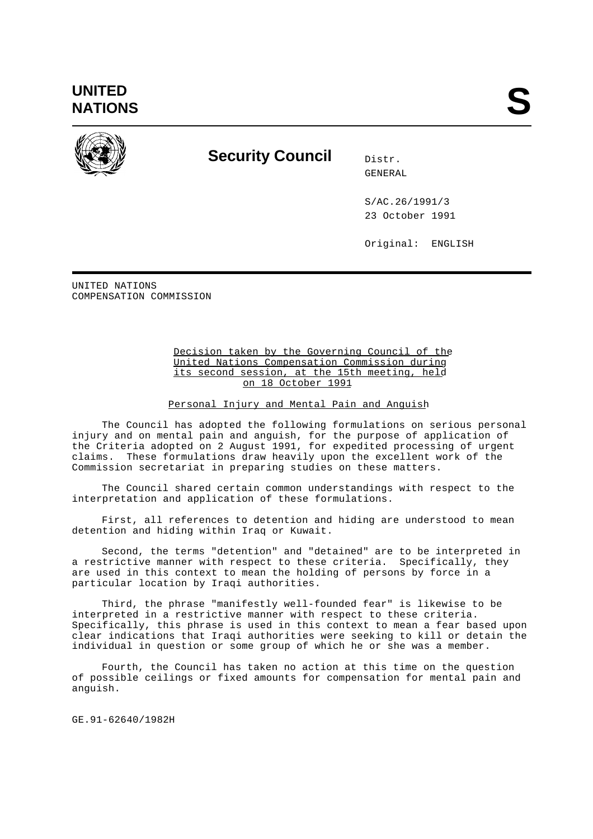

## **Security Council** Distr.

GENERAL

S/AC.26/1991/3 23 October 1991

Original: ENGLISH

UNITED NATIONS COMPENSATION COMMISSION

## Decision taken by the Governing Council of the United Nations Compensation Commission during its second session, at the 15th meeting, held on 18 October 1991

Personal Injury and Mental Pain and Anguish

The Council has adopted the following formulations on serious personal injury and on mental pain and anguish, for the purpose of application of the Criteria adopted on 2 August 1991, for expedited processing of urgent claims. These formulations draw heavily upon the excellent work of the Commission secretariat in preparing studies on these matters.

The Council shared certain common understandings with respect to the interpretation and application of these formulations.

First, all references to detention and hiding are understood to mean detention and hiding within Iraq or Kuwait.

Second, the terms "detention" and "detained" are to be interpreted in a restrictive manner with respect to these criteria. Specifically, they are used in this context to mean the holding of persons by force in a particular location by Iraqi authorities.

Third, the phrase "manifestly well-founded fear" is likewise to be interpreted in a restrictive manner with respect to these criteria. Specifically, this phrase is used in this context to mean a fear based upon clear indications that Iraqi authorities were seeking to kill or detain the individual in question or some group of which he or she was a member.

Fourth, the Council has taken no action at this time on the question of possible ceilings or fixed amounts for compensation for mental pain and anguish.

GE.91-62640/1982H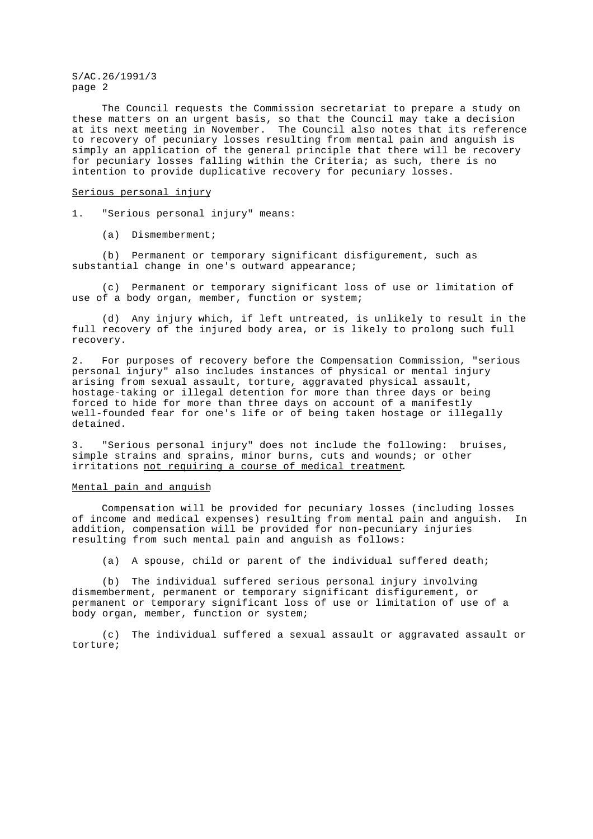S/AC.26/1991/3 page 2

The Council requests the Commission secretariat to prepare a study on these matters on an urgent basis, so that the Council may take a decision at its next meeting in November. The Council also notes that its reference to recovery of pecuniary losses resulting from mental pain and anguish is simply an application of the general principle that there will be recovery for pecuniary losses falling within the Criteria; as such, there is no intention to provide duplicative recovery for pecuniary losses.

## Serious personal injury

- 1. "Serious personal injury" means:
	- (a) Dismemberment;

(b) Permanent or temporary significant disfigurement, such as substantial change in one's outward appearance;

(c) Permanent or temporary significant loss of use or limitation of use of a body organ, member, function or system;

(d) Any injury which, if left untreated, is unlikely to result in the full recovery of the injured body area, or is likely to prolong such full recovery.

2. For purposes of recovery before the Compensation Commission, "serious personal injury" also includes instances of physical or mental injury arising from sexual assault, torture, aggravated physical assault, hostage-taking or illegal detention for more than three days or being forced to hide for more than three days on account of a manifestly well-founded fear for one's life or of being taken hostage or illegally detained.

3. "Serious personal injury" does not include the following: bruises, simple strains and sprains, minor burns, cuts and wounds; or other irritations not requiring a course of medical treatment.

## Mental pain and anguish

Compensation will be provided for pecuniary losses (including losses of income and medical expenses) resulting from mental pain and anguish. In addition, compensation will be provided for non-pecuniary injuries resulting from such mental pain and anguish as follows:

(a) A spouse, child or parent of the individual suffered death;

(b) The individual suffered serious personal injury involving dismemberment, permanent or temporary significant disfigurement, or permanent or temporary significant loss of use or limitation of use of a body organ, member, function or system;

(c) The individual suffered a sexual assault or aggravated assault or torture;